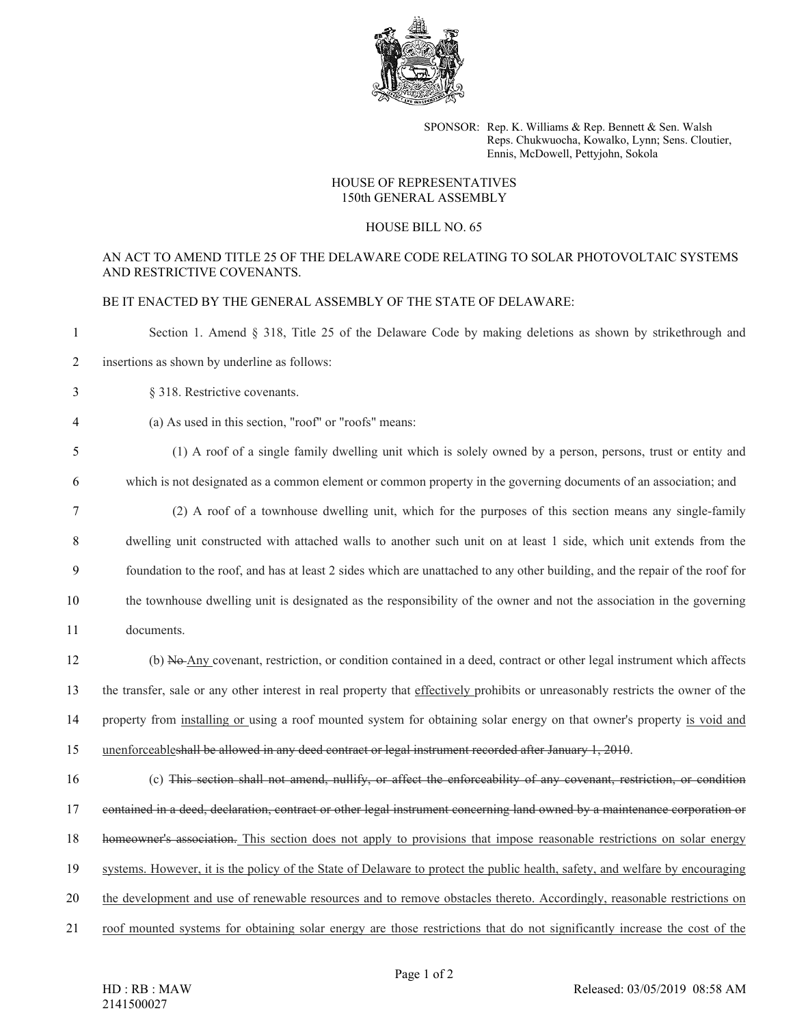

SPONSOR: Rep. K. Williams & Rep. Bennett & Sen. Walsh Reps. Chukwuocha, Kowalko, Lynn; Sens. Cloutier, Ennis, McDowell, Pettyjohn, Sokola

## HOUSE OF REPRESENTATIVES 150th GENERAL ASSEMBLY

## HOUSE BILL NO. 65

## AN ACT TO AMEND TITLE 25 OF THE DELAWARE CODE RELATING TO SOLAR PHOTOVOLTAIC SYSTEMS AND RESTRICTIVE COVENANTS.

BE IT ENACTED BY THE GENERAL ASSEMBLY OF THE STATE OF DELAWARE:

 Section 1. Amend § 318, Title 25 of the Delaware Code by making deletions as shown by strikethrough and insertions as shown by underline as follows: § 318. Restrictive covenants. (a) As used in this section, "roof" or "roofs" means: (1) A roof of a single family dwelling unit which is solely owned by a person, persons, trust or entity and which is not designated as a common element or common property in the governing documents of an association; and (2) A roof of a townhouse dwelling unit, which for the purposes of this section means any single-family dwelling unit constructed with attached walls to another such unit on at least 1 side, which unit extends from the foundation to the roof, and has at least 2 sides which are unattached to any other building, and the repair of the roof for the townhouse dwelling unit is designated as the responsibility of the owner and not the association in the governing documents. (b) No Any covenant, restriction, or condition contained in a deed, contract or other legal instrument which affects the transfer, sale or any other interest in real property that effectively prohibits or unreasonably restricts the owner of the property from installing or using a roof mounted system for obtaining solar energy on that owner's property is void and unenforceableshall be allowed in any deed contract or legal instrument recorded after January 1, 2010.

 (c) This section shall not amend, nullify, or affect the enforceability of any covenant, restriction, or condition contained in a deed, declaration, contract or other legal instrument concerning land owned by a maintenance corporation or homeowner's association. This section does not apply to provisions that impose reasonable restrictions on solar energy systems. However, it is the policy of the State of Delaware to protect the public health, safety, and welfare by encouraging the development and use of renewable resources and to remove obstacles thereto. Accordingly, reasonable restrictions on roof mounted systems for obtaining solar energy are those restrictions that do not significantly increase the cost of the